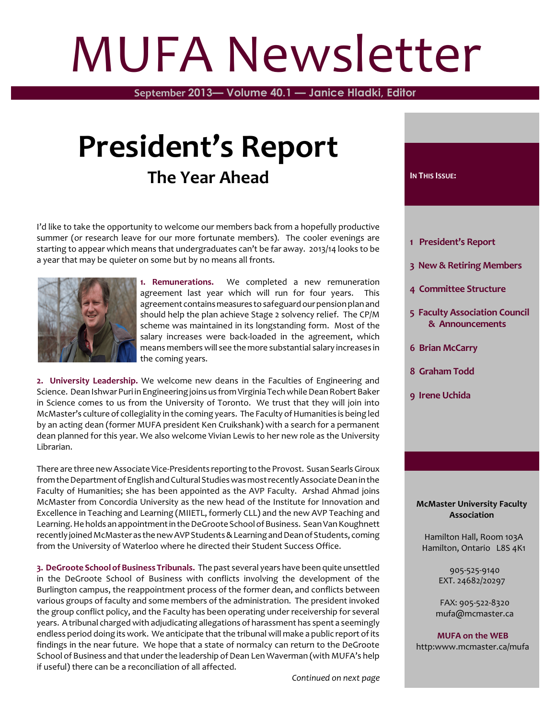# MUFA Newsletter

**September 2013— Volume 40.1 — Janice Hladki, Editor**

## **President's Report The Year Ahead**

I'd like to take the opportunity to welcome our members back from a hopefully productive summer (or research leave for our more fortunate members). The cooler evenings are starting to appear which means that undergraduates can't be far away. 2013/14 looks to be a year that may be quieter on some but by no means all fronts.



**1. Remunerations.** We completed a new remuneration agreement last year which will run for four years. This agreement contains measures to safeguard our pension plan and should help the plan achieve Stage 2 solvency relief. The CP/M scheme was maintained in its longstanding form. Most of the salary increases were back-loaded in the agreement, which means members will see the more substantial salary increases in the coming years.

**2. University Leadership.** We welcome new deans in the Faculties of Engineering and Science. Dean Ishwar Puri in Engineering joins us from Virginia Tech while Dean Robert Baker in Science comes to us from the University of Toronto. We trust that they will join into McMaster's culture of collegiality in the coming years. The Faculty of Humanities is being led by an acting dean (former MUFA president Ken Cruikshank) with a search for a permanent dean planned for this year. We also welcome Vivian Lewis to her new role as the University Librarian.

There are three new Associate Vice-Presidents reporting to the Provost. Susan Searls Giroux from the Department of English and Cultural Studies was most recently Associate Dean in the Faculty of Humanities; she has been appointed as the AVP Faculty. Arshad Ahmad joins McMaster from Concordia University as the new head of the Institute for Innovation and Excellence in Teaching and Learning (MIIETL, formerly CLL) and the new AVP Teaching and Learning. He holds an appointment in the DeGroote School of Business. Sean Van Koughnett recently joined McMasteras thenewAVP Students & Learning and Dean of Students, coming from the University of Waterloo where he directed their Student Success Office.

**3. DeGroote School of Business Tribunals.** The past several years have been quite unsettled in the DeGroote School of Business with conflicts involving the development of the Burlington campus, the reappointment process of the former dean, and conflicts between various groups of faculty and some members of the administration. The president invoked the group conflict policy, and the Faculty has been operating under receivership for several years. A tribunal charged with adjudicating allegations of harassment has spent a seemingly endless period doing its work. We anticipate that the tribunal will make a public report of its findings in the near future. We hope that a state of normalcy can return to the DeGroote School of Business and that under the leadership of Dean Len Waverman (with MUFA's help if useful) there can be a reconciliation of all affected.

**IN THIS ISSUE: President's Report New & Retiring Members Committee Structure Faculty Association Council & Announcements**

- **6 Brian McCarry**
- **8 Graham Todd**
- **9 Irene Uchida**

#### **McMaster University Faculty Association**

 Hamilton Hall, Room 103A Hamilton, Ontario L8S 4K1

> 905-525-9140 EXT. 24682/20297

 FAX: 905-522-8320 mufa@mcmaster.ca

 **MUFA on the WEB** http:www.mcmaster.ca/mufa

*Continued on next page*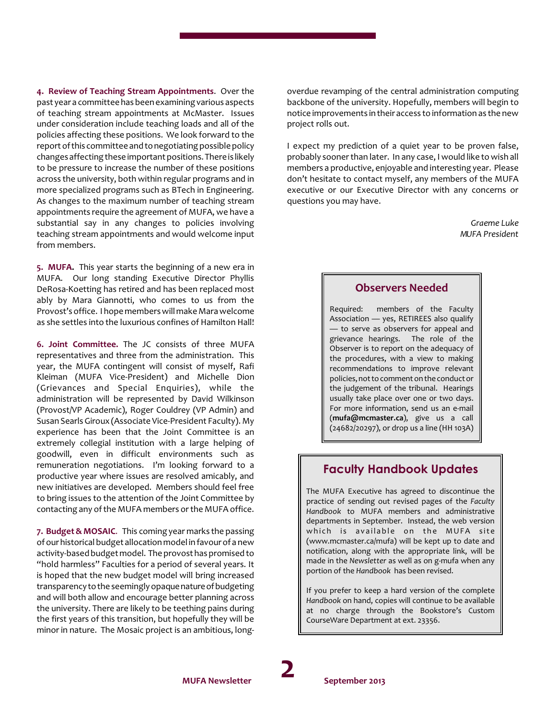**4. Review of Teaching Stream Appointments**. Over the past year a committee has been examining various aspects of teaching stream appointments at McMaster. Issues under consideration include teaching loads and all of the policies affecting these positions. We look forward to the report of this committee and to negotiating possible policy changesaffecting theseimportant positions. There is likely to be pressure to increase the number of these positions across the university, both within regular programs and in more specialized programs such as BTech in Engineering. As changes to the maximum number of teaching stream appointments require the agreement of MUFA, we have a substantial say in any changes to policies involving teaching stream appointments and would welcome input from members.

**5. MUFA.** This year starts the beginning of a new era in MUFA. Our long standing Executive Director Phyllis DeRosa-Koetting has retired and has been replaced most ably by Mara Giannotti, who comes to us from the Provost's office. I hope members will make Mara welcome as she settles into the luxurious confines of Hamilton Hall!

**6. Joint Committee.** The JC consists of three MUFA representatives and three from the administration. This year, the MUFA contingent will consist of myself, Rafi Kleiman (MUFA Vice-President) and Michelle Dion (Grievances and Special Enquiries), while the administration will be represented by David Wilkinson (Provost/VP Academic), Roger Couldrey (VP Admin) and Susan Searls Giroux (Associate Vice-President Faculty). My experience has been that the Joint Committee is an extremely collegial institution with a large helping of goodwill, even in difficult environments such as remuneration negotiations. I'm looking forward to a productive year where issues are resolved amicably, and new initiatives are developed. Members should feel free to bring issues to the attention of the Joint Committee by contacting any of the MUFA members or the MUFA office.

**7. Budget & MOSAIC**. This coming year marks the passing of ourhistorical budget allocation model in favourof a new activity-based budget model. Theprovost has promised to "hold harmless" Faculties for a period of several years. It is hoped that the new budget model will bring increased transparency to the seemingly opaque nature of budgeting and will both allow and encourage better planning across the university. There are likely to be teething pains during the first years of this transition, but hopefully they will be minor in nature. The Mosaic project is an ambitious, longoverdue revamping of the central administration computing backbone of the university. Hopefully, members will begin to notice improvements in their access to information as the new project rolls out.

I expect my prediction of a quiet year to be proven false, probably sooner than later. In any case, I would like to wish all members a productive, enjoyable and interesting year. Please don't hesitate to contact myself, any members of the MUFA executive or our Executive Director with any concerns or questions you may have.

> *Graeme Luke MUFA President*

#### **Observers Needed**

Required: members of the Faculty Association — yes, RETIREES also qualify — to serve as observers for appeal and grievance hearings. The role of the Observer is to report on the adequacy of the procedures, with a view to making recommendations to improve relevant policies, not to comment on theconduct or the judgement of the tribunal. Hearings usually take place over one or two days. For more information, send us an e-mail (**[mufa@mcmaster.ca](mailto:mufa@mcmaster.ca),)**), give us a call (24682/20297), or drop us a line (HH 103A)

#### **Faculty Handbook Updates**

The MUFA Executive has agreed to discontinue the practice of sending out revised pages of the *Faculty Handbook* to MUFA members and administrative departments in September. Instead, the web version which is available on the MUFA site [\(www.mcmaster.ca/mufa\)](http://www.mcmaster.ca/mufa)) will be kept up to date and notification, along with the appropriate link, will be made in the *Newsletter* as well as on g-mufa when any portion of the *Handbook* has been revised.

If you prefer to keep a hard version of the complete *Handbook* on hand, copies will continue to be available at no charge through the Bookstore's Custom CourseWare Department at ext. 23356.

**2**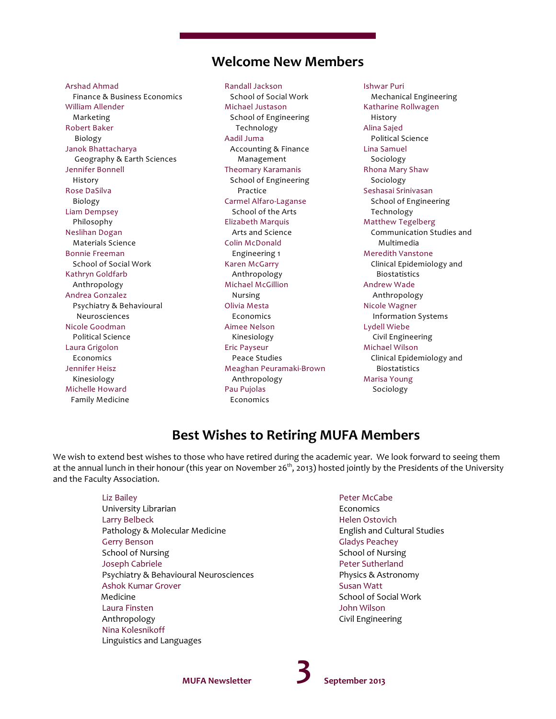#### **Welcome New Members**

Arshad Ahmad Finance & Business Economics William Allender Marketing Robert Baker Biology Janok Bhattacharya Geography & Earth Sciences Jennifer Bonnell History Rose DaSilva Biology Liam Dempsey Philosophy Neslihan Dogan Materials Science Bonnie Freeman School of Social Work Kathryn Goldfarb Anthropology Andrea Gonzalez Psychiatry & Behavioural Neurosciences Nicole Goodman Political Science Laura Grigolon Economics Jennifer Heisz Kinesiology Michelle Howard Family Medicine

Randall Jackson School of Social Work Michael Justason School of Engineering Technology Aadil Juma Accounting & Finance Management Theomary Karamanis School of Engineering Practice Carmel Alfaro-Laganse School of the Arts Elizabeth Marquis Arts and Science Colin McDonald Engineering 1 Karen McGarry Anthropology Michael McGillion Nursing Olivia Mesta Economics Aimee Nelson Kinesiology Eric Payseur Peace Studies Meaghan Peuramaki-Brown Anthropology Pau Pujolas Economics

Ishwar Puri Mechanical Engineering Katharine Rollwagen History Alina Sajed Political Science Lina Samuel Sociology Rhona Mary Shaw Sociology Seshasai Srinivasan School of Engineering Technology Matthew Tegelberg Communication Studies and Multimedia Meredith Vanstone Clinical Epidemiology and Biostatistics Andrew Wade Anthropology Nicole Wagner Information Systems Lydell Wiebe Civil Engineering Michael Wilson Clinical Epidemiology and Biostatistics Marisa Young Sociology

### **Best Wishes to Retiring MUFA Members**

We wish to extend best wishes to those who have retired during the academic year. We look forward to seeing them at the annual lunch in their honour (this year on November 26<sup>th</sup>, 2013) hosted jointly by the Presidents of the University and the Faculty Association.

#### Liz Bailey

University Librarian Larry Belbeck Pathology & Molecular Medicine Gerry Benson School of Nursing Joseph Cabriele Psychiatry & Behavioural Neurosciences Ashok Kumar Grover Medicine Laura Finsten Anthropology Nina Kolesnikoff Linguistics and Languages

#### Peter McCabe Economics

Helen Ostovich English and Cultural Studies Gladys Peachey School of Nursing Peter Sutherland Physics & Astronomy Susan Watt School of Social Work John Wilson Civil Engineering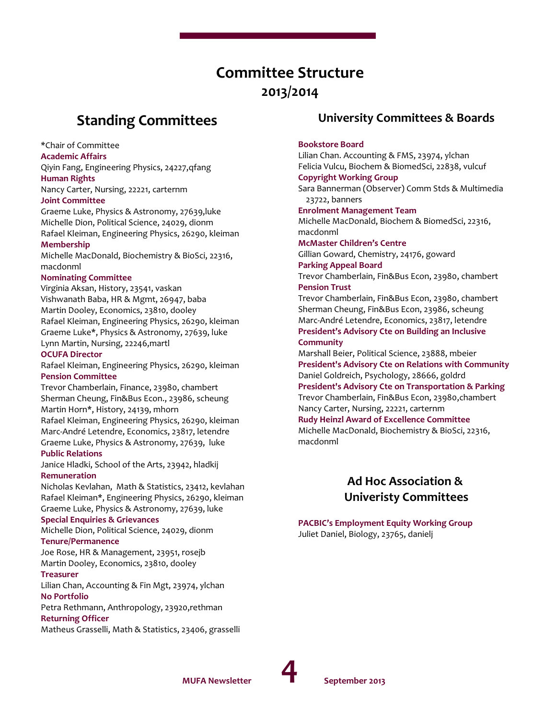## **Committee Structure 2013/2014**

## **Standing Committees**

\*Chair of Committee

#### **Academic Affairs**

Qiyin Fang, Engineering Physics, 24227,qfang **Human Rights**

Nancy Carter, Nursing, 22221, carternm

#### **Joint Committee**

Graeme Luke, Physics & Astronomy, 27639,luke Michelle Dion, Political Science, 24029, dionm Rafael Kleiman, Engineering Physics, 26290, kleiman **Membership**

#### Michelle MacDonald, Biochemistry & BioSci, 22316, macdonml

#### **Nominating Committee**

Virginia Aksan, History, 23541, vaskan Vishwanath Baba, HR & Mgmt, 26947, baba Martin Dooley, Economics, 23810, dooley Rafael Kleiman, Engineering Physics, 26290, kleiman Graeme Luke\*, Physics & Astronomy, 27639, luke Lynn Martin, Nursing, 22246,martl

#### **OCUFA Director**

Rafael Kleiman, Engineering Physics, 26290, kleiman **Pension Committee**

Trevor Chamberlain, Finance, 23980, chambert Sherman Cheung, Fin&Bus Econ., 23986, scheung Martin Horn\*, History, 24139, mhorn Rafael Kleiman, Engineering Physics, 26290, kleiman Marc-André Letendre, Economics, 23817, letendre Graeme Luke, Physics & Astronomy, 27639, luke **Public Relations**

Janice Hladki, School of the Arts, 23942, hladkij **Remuneration**

Nicholas Kevlahan, Math & Statistics, 23412, kevlahan Rafael Kleiman\*, Engineering Physics, 26290, kleiman Graeme Luke, Physics & Astronomy, 27639, luke

#### **Special Enquiries & Grievances**

Michelle Dion, Political Science, 24029, dionm **Tenure/Permanence**

Joe Rose, HR & Management, 23951, rosejb Martin Dooley, Economics, 23810, dooley

#### **Treasurer**

Lilian Chan, Accounting & Fin Mgt, 23974, ylchan **No Portfolio**

Petra Rethmann, Anthropology, 23920,rethman **Returning Officer**

Matheus Grasselli, Math & Statistics, 23406, grasselli

#### **University Committees & Boards**

#### **Bookstore Board**

Lilian Chan. Accounting & FMS, 23974, ylchan Felicia Vulcu, Biochem & BiomedSci, 22838, vulcuf **Copyright Working Group** Sara Bannerman (Observer) Comm Stds & Multimedia 23722, banners **Enrolment Management Team** Michelle MacDonald, Biochem & BiomedSci, 22316,

macdonml **McMaster Children's Centre**

Gillian Goward, Chemistry, 24176, goward **Parking Appeal Board**

Trevor Chamberlain, Fin&Bus Econ, 23980, chambert **Pension Trust**

Trevor Chamberlain, Fin&Bus Econ, 23980, chambert Sherman Cheung, Fin&Bus Econ, 23986, scheung Marc-André Letendre, Economics, 23817, letendre **President's Advisory Cte on Building an Inclusive Community**

Marshall Beier, Political Science, 23888, mbeier **President's Advisory Cte on Relations with Community** Daniel Goldreich, Psychology, 28666, goldrd **President's Advisory Cte on Transportation & Parking** Trevor Chamberlain, Fin&Bus Econ, 23980,chambert Nancy Carter, Nursing, 22221, carternm

#### **Rudy Heinzl Award of Excellence Committee**

Michelle MacDonald, Biochemistry & BioSci, 22316, macdonml

#### **Ad Hoc Association & Univeristy Committees**

**PACBIC's Employment Equity Working Group** Juliet Daniel, Biology, 23765, danielj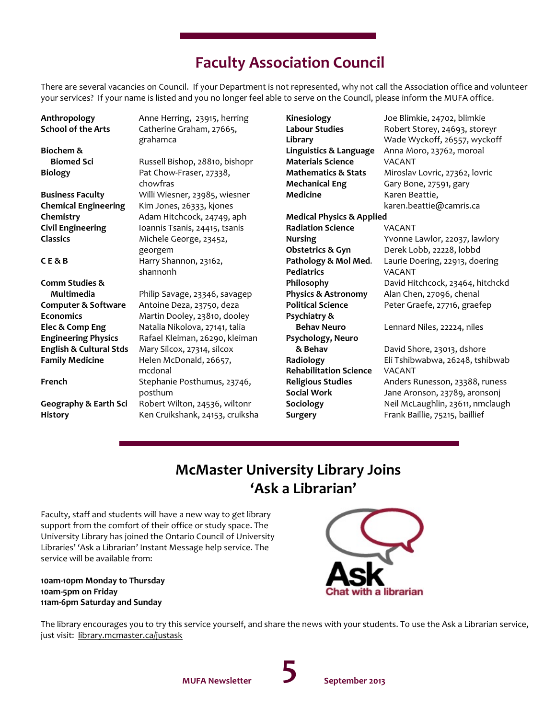## **Faculty Association Council**

There are several vacancies on Council. If your Department is not represented, why not call the Association office and volunteer your services? If your name is listed and you no longer feel able to serve on the Council, please inform the MUFA office.

| Anthropology<br><b>School of the Arts</b> | Anne Herring, 23915, herring<br>Catherine Graham, 27665,<br>grahamca | Kinesiology<br><b>Labour Studies</b><br>Library    | Joe Blimkie, 24702, blimkie<br>Robert Storey, 24693, storeyr<br>Wade Wyckoff, 26557, wyckoff |
|-------------------------------------------|----------------------------------------------------------------------|----------------------------------------------------|----------------------------------------------------------------------------------------------|
| Biochem &<br><b>Biomed Sci</b>            | Russell Bishop, 28810, bishopr                                       | Linguistics & Language<br><b>Materials Science</b> | Anna Moro, 23762, moroal<br><b>VACANT</b>                                                    |
| Biology                                   | Pat Chow-Fraser, 27338,                                              | <b>Mathematics &amp; Stats</b>                     | Miroslav Lovric, 27362, lovric                                                               |
|                                           | chowfras                                                             | <b>Mechanical Eng</b>                              | Gary Bone, 27591, gary                                                                       |
| <b>Business Faculty</b>                   | Willi Wiesner, 23985, wiesner                                        | <b>Medicine</b>                                    | Karen Beattie,                                                                               |
| <b>Chemical Engineering</b>               | Kim Jones, 26333, kjones                                             |                                                    | karen.beattie@camris.ca                                                                      |
| Chemistry                                 | Adam Hitchcock, 24749, aph                                           | <b>Medical Physics &amp; Applied</b>               |                                                                                              |
| <b>Civil Engineering</b>                  | Ioannis Tsanis, 24415, tsanis                                        | <b>Radiation Science</b>                           | <b>VACANT</b>                                                                                |
| Classics                                  | Michele George, 23452,                                               | <b>Nursing</b>                                     | Yvonne Lawlor, 22037, lawlory                                                                |
|                                           | georgem                                                              | <b>Obstetrics &amp; Gyn</b>                        | Derek Lobb, 22228, lobbd                                                                     |
| <b>CE&amp;B</b>                           | Harry Shannon, 23162,                                                | Pathology & Mol Med.                               | Laurie Doering, 22913, doering                                                               |
|                                           | shannonh                                                             | <b>Pediatrics</b>                                  | <b>VACANT</b>                                                                                |
| Comm Studies &                            |                                                                      | Philosophy                                         | David Hitchcock, 23464, hitchckd                                                             |
| Multimedia                                | Philip Savage, 23346, savagep                                        | <b>Physics &amp; Astronomy</b>                     | Alan Chen, 27096, chenal                                                                     |
| <b>Computer &amp; Software</b>            | Antoine Deza, 23750, deza                                            | <b>Political Science</b>                           | Peter Graefe, 27716, graefep                                                                 |
| <b>Economics</b>                          | Martin Dooley, 23810, dooley                                         | Psychiatry &                                       |                                                                                              |
| Elec & Comp Eng                           | Natalia Nikolova, 27141, talia                                       | <b>Behav Neuro</b>                                 | Lennard Niles, 22224, niles                                                                  |
| <b>Engineering Physics</b>                | Rafael Kleiman, 26290, kleiman                                       | Psychology, Neuro                                  |                                                                                              |
| <b>English &amp; Cultural Stds</b>        | Mary Silcox, 27314, silcox                                           | & Behav                                            | David Shore, 23013, dshore                                                                   |
| <b>Family Medicine</b>                    | Helen McDonald, 26657,                                               | Radiology                                          | Eli Tshibwabwa, 26248, tshibwab                                                              |
|                                           | mcdonal                                                              | <b>Rehabilitation Science</b>                      | VACANT                                                                                       |
| French                                    | Stephanie Posthumus, 23746,                                          | <b>Religious Studies</b>                           | Anders Runesson, 23388, runess                                                               |
|                                           | posthum                                                              | <b>Social Work</b>                                 | Jane Aronson, 23789, aronsonj                                                                |
| Geography & Earth Sci                     | Robert Wilton, 24536, wiltonr                                        | Sociology                                          | Neil McLaughlin, 23611, nmclaugh                                                             |
| <b>History</b>                            | Ken Cruikshank, 24153, cruiksha                                      | <b>Surgery</b>                                     | Frank Baillie, 75215, baillief                                                               |
|                                           |                                                                      |                                                    |                                                                                              |

## **McMaster University Library Joins 'Ask a Librarian'**

Faculty, staff and students will have a new way to get library support from the comfort of their office or study space. The University Library has joined the Ontario Council of University Libraries' 'Ask a Librarian' Instant Message help service. The service will be available from:

**10am-10pm Monday to Thursday 10am-5pm on Friday 11am-6pm Saturday and Sunday**



The library encourages you to try this service yourself, and share the news with your students. To use the Ask a Librarian service, just visit: library.mcmaster.ca/justask

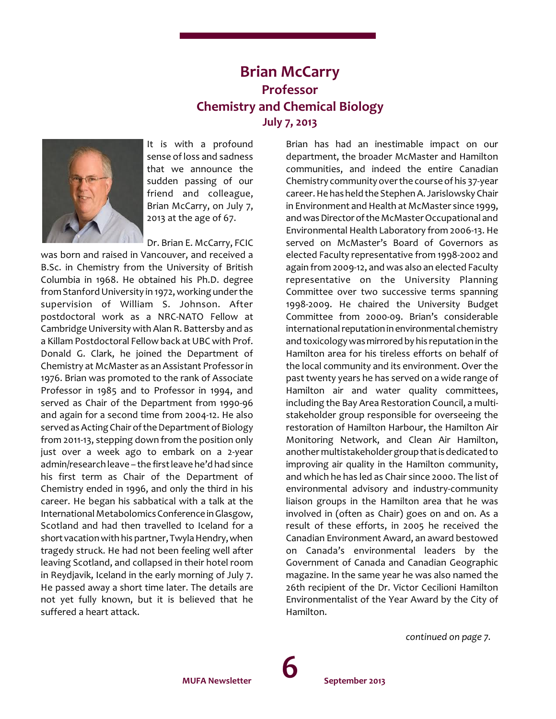## **Brian McCarry Professor Chemistry and Chemical Biology July 7, 2013**



It is with a profound sense of loss and sadness that we announce the sudden passing of our friend and colleague, Brian McCarry, on July 7, 2013 at the age of 67.

Dr. Brian E. McCarry, FCIC

was born and raised in Vancouver, and received a B.Sc. in Chemistry from the University of British Columbia in 1968. He obtained his Ph.D. degree from Stanford University in 1972, working under the supervision of William S. Johnson. After postdoctoral work as a NRC-NATO Fellow at Cambridge University with Alan R. Battersby and as a Killam Postdoctoral Fellow back at UBC with Prof. Donald G. Clark, he joined the Department of Chemistry at McMaster as an Assistant Professorin 1976. Brian was promoted to the rank of Associate Professor in 1985 and to Professor in 1994, and served as Chair of the Department from 1990-96 and again for a second time from 2004-12. He also served as Acting Chair of the Department of Biology from 2011-13, stepping down from the position only just over a week ago to embark on a 2-year admin/research leave – the first leave he'd had since his first term as Chair of the Department of Chemistry ended in 1996, and only the third in his career. He began his sabbatical with a talk at the International Metabolomics ConferenceinGlasgow, Scotland and had then travelled to Iceland for a short vacation with his partner, Twyla Hendry, when tragedy struck. He had not been feeling well after leaving Scotland, and collapsed in their hotel room in Reydjavik, Iceland in the early morning of July 7. He passed away a short time later. The details are not yet fully known, but it is believed that he suffered a heart attack.

Brian has had an inestimable impact on our department, the broader McMaster and Hamilton communities, and indeed the entire Canadian Chemistry communityoverthe course of his 37-year career. He has held the Stephen A. Jarislowsky Chair in Environment and Health at McMaster since 1999, and was Director of the McMaster Occupational and Environmental Health Laboratory from 2006-13. He served on McMaster's Board of Governors as elected Faculty representative from 1998-2002 and again from 2009-12, and was also an elected Faculty representative on the University Planning Committee over two successive terms spanning 1998-2009. He chaired the University Budget Committee from 2000-09. Brian's considerable international reputation in environmental chemistry and toxicologywasmirrored by his reputation in the Hamilton area for his tireless efforts on behalf of the local community and its environment. Over the past twenty years he has served on a wide range of Hamilton air and water quality committees, including the Bay Area Restoration Council, a multistakeholder group responsible for overseeing the restoration of Hamilton Harbour, the Hamilton Air Monitoring Network, and Clean Air Hamilton, another multistakeholdergroupthatis dedicated to improving air quality in the Hamilton community, and which he has led as Chair since 2000. The list of environmental advisory and industry-community liaison groups in the Hamilton area that he was involved in (often as Chair) goes on and on. As a result of these efforts, in 2005 he received the Canadian Environment Award, an award bestowed on Canada's environmental leaders by the Government of Canada and Canadian Geographic magazine. In the same year he was also named the 26th recipient of the Dr. Victor Cecilioni Hamilton Environmentalist of the Year Award by the City of Hamilton.

*continued on page 7.*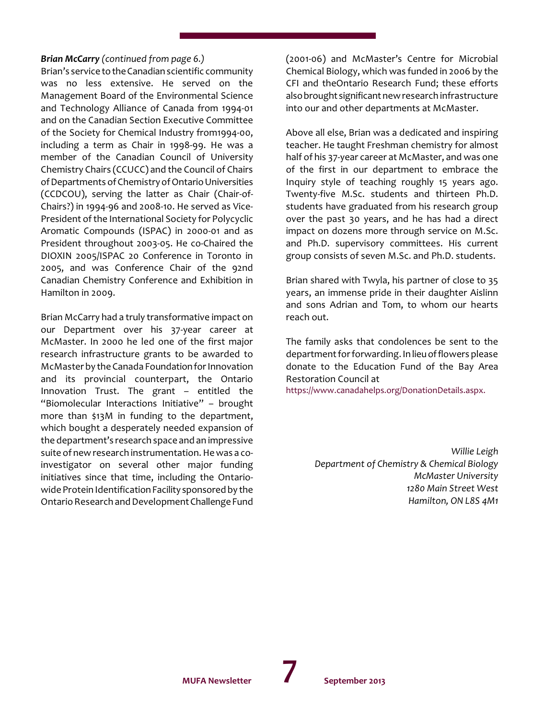#### *Brian McCarry (continued from page 6.)*

Brian's service totheCanadian scientific community was no less extensive. He served on the Management Board of the Environmental Science and Technology Alliance of Canada from 1994-01 and on the Canadian Section Executive Committee of the Society for Chemical Industry from1994-00, including a term as Chair in 1998-99. He was a member of the Canadian Council of University Chemistry Chairs (CCUCC) and the Council of Chairs of Departments of Chemistry of Ontario Universities (CCDCOU), serving the latter as Chair (Chair-of-Chairs?) in 1994-96 and 2008-10. He served as Vice-President of the International Society for Polycyclic Aromatic Compounds (ISPAC) in 2000-01 and as President throughout 2003-05. He co-Chaired the DIOXIN 2005/ISPAC 20 Conference in Toronto in 2005, and was Conference Chair of the 92nd Canadian Chemistry Conference and Exhibition in Hamilton in 2009.

Brian McCarry had a truly transformative impact on our Department over his 37-year career at McMaster. In 2000 he led one of the first major research infrastructure grants to be awarded to McMaster by the Canada Foundation for Innovation and its provincial counterpart, the Ontario Innovation Trust. The grant – entitled the "Biomolecular Interactions Initiative" – brought more than \$13M in funding to the department, which bought a desperately needed expansion of the department's research space and an impressive suite of new research instrumentation. He was a coinvestigator on several other major funding initiatives since that time, including the Ontariowide Protein Identification Facility sponsored by the Ontario Research and Development Challenge Fund

(2001-06) and McMaster's Centre for Microbial Chemical Biology, which was funded in 2006 by the CFI and theOntario Research Fund; these efforts alsobrought significant new research infrastructure into our and other departments at McMaster.

Above all else, Brian was a dedicated and inspiring teacher. He taught Freshman chemistry for almost half of his 37-year career at McMaster, and was one of the first in our department to embrace the Inquiry style of teaching roughly 15 years ago. Twenty-five M.Sc. students and thirteen Ph.D. students have graduated from his research group over the past 30 years, and he has had a direct impact on dozens more through service on M.Sc. and Ph.D. supervisory committees. His current group consists of seven M.Sc. and Ph.D. students.

Brian shared with Twyla, his partner of close to 35 years, an immense pride in their daughter Aislinn and sons Adrian and Tom, to whom our hearts reach out.

The family asks that condolences be sent to the department for forwarding. In lieu of flowers please donate to the Education Fund of the Bay Area Restoration Council at

<https://www.canadahelps.org/DonationDetails.aspx.>

*Willie Leigh Department of Chemistry & Chemical Biology McMaster University 1280 Main Street West Hamilton, ON L8S 4M1*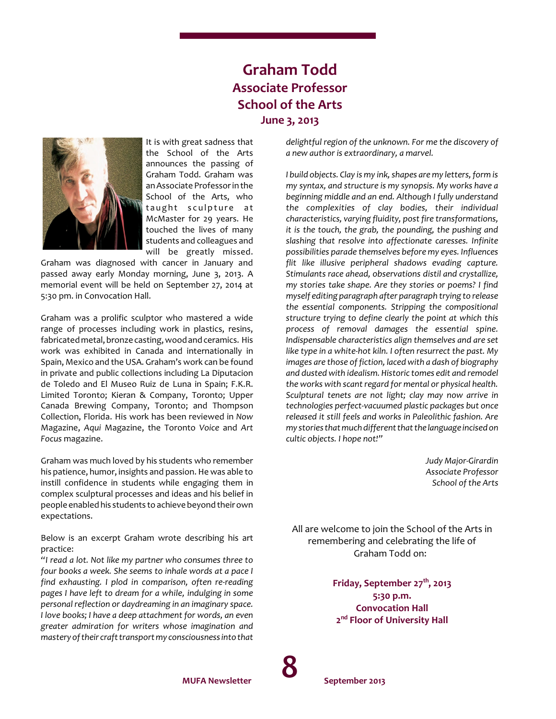## **Graham Todd Associate Professor School of the Arts June 3, 2013**



It is with great sadness that the School of the Arts announces the passing of Graham Todd. Graham was an Associate Professorin the School of the Arts, who taught sculpture at McMaster for 29 years. He touched the lives of many students and colleagues and will be greatly missed.

Graham was diagnosed with cancer in January and passed away early Monday morning, June 3, 2013. A memorial event will be held on September 27, 2014 at 5:30 pm. in Convocation Hall.

Graham was a prolific sculptor who mastered a wide range of processes including work in plastics, resins, fabricated metal, bronze casting, wood and ceramics. His work was exhibited in Canada and internationally in Spain, Mexico and the USA. Graham's work can be found in private and public collections including La Diputacion de Toledo and El Museo Ruiz de Luna in Spain; F.K.R. Limited Toronto; Kieran & Company, Toronto; Upper Canada Brewing Company, Toronto; and Thompson Collection, Florida. His work has been reviewed in *Now* Magazine, *Aqui* Magazine, the Toronto *Voice* and *Art Focus* magazine.

Graham was much loved by his students who remember his patience, humor, insights and passion. He was able to instill confidence in students while engaging them in complex sculptural processes and ideas and his belief in people enabled his students to achieve beyond their own expectations.

Below is an excerpt Graham wrote describing his art practice:

*"I read a lot. Not like my partner who consumes three to four books a week. She seems to inhale words at a pace I find exhausting. I plod in comparison, often re-reading pages I have left to dream for a while, indulging in some personal reflection or daydreaming in an imaginary space. I love books; I have a deep attachment for words, an even greater admiration for writers whose imagination and mastery of their craft transport my consciousnessinto that* *delightful region of the unknown. For me the discovery of a new author is extraordinary, a marvel.* 

*I build objects. Clay is my ink, shapes are my letters, form is my syntax, and structure is my synopsis. My works have a beginning middle and an end. Although I fully understand the complexities of clay bodies, their individual characteristics, varying fluidity, post fire transformations, it is the touch, the grab, the pounding, the pushing and slashing that resolve into affectionate caresses. Infinite possibilities parade themselves before my eyes. Influences flit like illusive peripheral shadows evading capture. Stimulants race ahead, observations distil and crystallize, my stories take shape. Are they stories or poems? I find myself editing paragraph after paragraph trying to release the essential components. Stripping the compositional structure trying to define clearly the point at which this process of removal damages the essential spine. Indispensable characteristics align themselves and are set like type in a white-hot kiln. I often resurrect the past. My images are those of fiction, laced with a dash of biography and dusted with idealism. Historic tomes edit and remodel the works with scant regard for mental or physical health. Sculptural tenets are not light; clay may now arrive in technologies perfect-vacuumed plastic packages but once released it still feels and works in Paleolithic fashion. Are my storiesthat muchdifferent that thelanguageincised on cultic objects. I hope not!"*

> *Judy Major-Girardin Associate Professor School of the Arts*

All are welcome to join the School of the Arts in remembering and celebrating the life of Graham Todd on:

> **Friday, September 27th , 2013 5:30 p.m. Convocation Hall 2 nd Floor of University Hall**

**8**